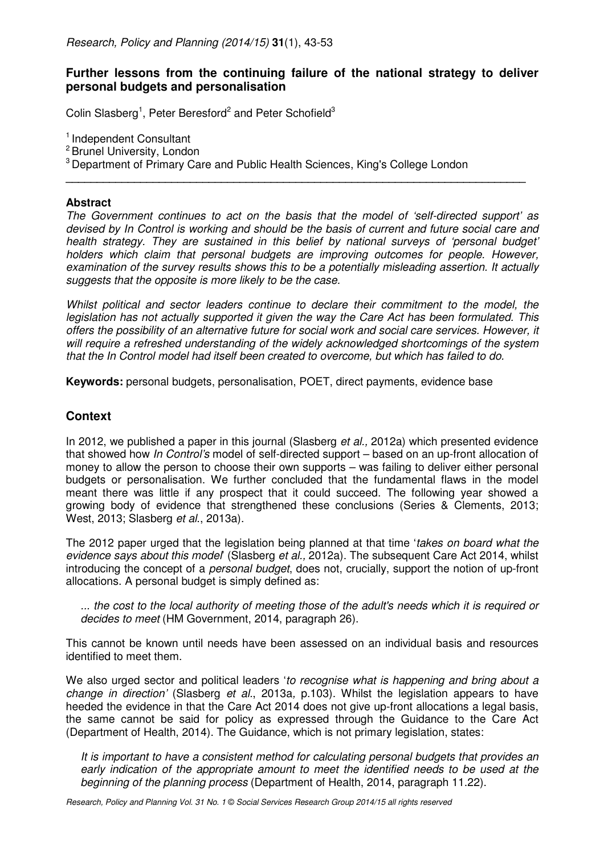# **Further lessons from the continuing failure of the national strategy to deliver personal budgets and personalisation**

Colin Slasberg<sup>1</sup>, Peter Beresford<sup>2</sup> and Peter Schofield<sup>3</sup>

<sup>1</sup> Independent Consultant

<sup>2</sup> Brunel University, London

<sup>3</sup> Department of Primary Care and Public Health Sciences, King's College London

### **Abstract**

The Government continues to act on the basis that the model of 'self-directed support' as devised by In Control is working and should be the basis of current and future social care and health strategy. They are sustained in this belief by national surveys of 'personal budget' holders which claim that personal budgets are improving outcomes for people. However, examination of the survey results shows this to be a potentially misleading assertion. It actually suggests that the opposite is more likely to be the case.

**\_\_\_\_\_\_\_\_\_\_\_\_\_\_\_\_\_\_\_\_\_\_\_\_\_\_\_\_\_\_\_\_\_\_\_\_\_\_\_\_\_\_\_\_\_\_\_\_\_\_\_\_\_\_\_\_\_\_\_\_\_\_\_\_\_\_\_\_\_\_\_\_\_\_**

Whilst political and sector leaders continue to declare their commitment to the model, the legislation has not actually supported it given the way the Care Act has been formulated. This offers the possibility of an alternative future for social work and social care services. However, it will require a refreshed understanding of the widely acknowledged shortcomings of the system that the In Control model had itself been created to overcome, but which has failed to do.

**Keywords:** personal budgets, personalisation, POET, direct payments, evidence base

# **Context**

In 2012, we published a paper in this journal (Slasberg *et al.*, 2012a) which presented evidence that showed how In Control's model of self-directed support – based on an up-front allocation of money to allow the person to choose their own supports – was failing to deliver either personal budgets or personalisation. We further concluded that the fundamental flaws in the model meant there was little if any prospect that it could succeed. The following year showed a growing body of evidence that strengthened these conclusions (Series & Clements, 2013; West, 2013; Slasberg et al., 2013a).

The 2012 paper urged that the legislation being planned at that time 'takes on board what the evidence says about this model (Slasberg et al., 2012a). The subsequent Care Act 2014, whilst introducing the concept of a personal budget, does not, crucially, support the notion of up-front allocations. A personal budget is simply defined as:

... the cost to the local authority of meeting those of the adult's needs which it is required or decides to meet (HM Government, 2014, paragraph 26).

This cannot be known until needs have been assessed on an individual basis and resources identified to meet them.

We also urged sector and political leaders 'to recognise what is happening and bring about a change in direction' (Slasberg et al., 2013a, p.103). Whilst the legislation appears to have heeded the evidence in that the Care Act 2014 does not give up-front allocations a legal basis, the same cannot be said for policy as expressed through the Guidance to the Care Act (Department of Health, 2014). The Guidance, which is not primary legislation, states:

It is important to have a consistent method for calculating personal budgets that provides an early indication of the appropriate amount to meet the identified needs to be used at the beginning of the planning process (Department of Health, 2014, paragraph 11.22).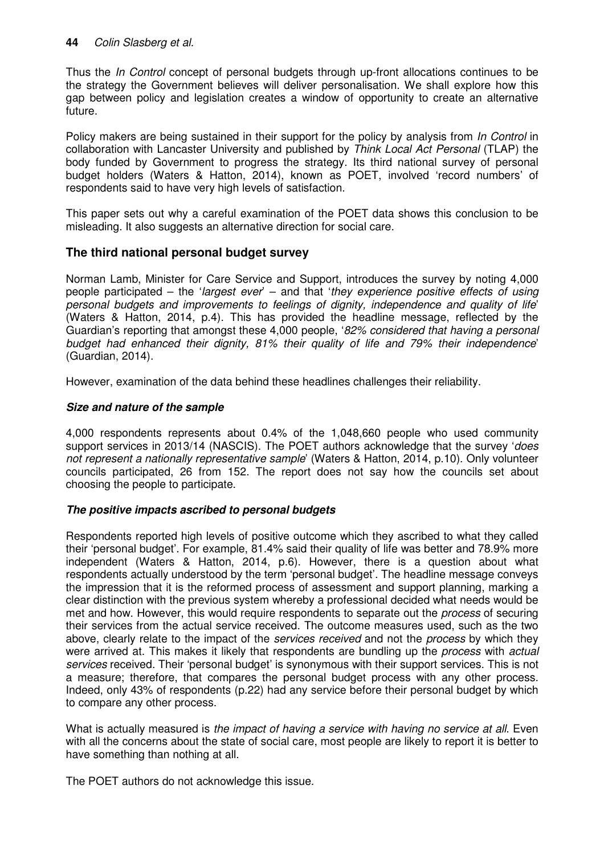# **44** Colin Slasberg et al.

Thus the In Control concept of personal budgets through up-front allocations continues to be the strategy the Government believes will deliver personalisation. We shall explore how this gap between policy and legislation creates a window of opportunity to create an alternative future.

Policy makers are being sustained in their support for the policy by analysis from In Control in collaboration with Lancaster University and published by Think Local Act Personal (TLAP) the body funded by Government to progress the strategy. Its third national survey of personal budget holders (Waters & Hatton, 2014), known as POET, involved 'record numbers' of respondents said to have very high levels of satisfaction.

This paper sets out why a careful examination of the POET data shows this conclusion to be misleading. It also suggests an alternative direction for social care.

# **The third national personal budget survey**

Norman Lamb, Minister for Care Service and Support, introduces the survey by noting 4,000 people participated – the 'largest ever' – and that 'they experience positive effects of using personal budgets and improvements to feelings of dignity, independence and quality of life' (Waters & Hatton, 2014, p.4). This has provided the headline message, reflected by the Guardian's reporting that amongst these 4,000 people, '82% considered that having a personal budget had enhanced their dignity, 81% their quality of life and 79% their independence' (Guardian, 2014).

However, examination of the data behind these headlines challenges their reliability.

### **Size and nature of the sample**

4,000 respondents represents about 0.4% of the 1,048,660 people who used community support services in 2013/14 (NASCIS). The POET authors acknowledge that the survey 'does not represent a nationally representative sample' (Waters & Hatton, 2014, p.10). Only volunteer councils participated, 26 from 152. The report does not say how the councils set about choosing the people to participate.

### **The positive impacts ascribed to personal budgets**

Respondents reported high levels of positive outcome which they ascribed to what they called their 'personal budget'. For example, 81.4% said their quality of life was better and 78.9% more independent (Waters & Hatton, 2014, p.6). However, there is a question about what respondents actually understood by the term 'personal budget'. The headline message conveys the impression that it is the reformed process of assessment and support planning, marking a clear distinction with the previous system whereby a professional decided what needs would be met and how. However, this would require respondents to separate out the *process* of securing their services from the actual service received. The outcome measures used, such as the two above, clearly relate to the impact of the *services received* and not the *process* by which they were arrived at. This makes it likely that respondents are bundling up the *process* with *actual* services received. Their 'personal budget' is synonymous with their support services. This is not a measure; therefore, that compares the personal budget process with any other process. Indeed, only 43% of respondents (p.22) had any service before their personal budget by which to compare any other process.

What is actually measured is the impact of having a service with having no service at all. Even with all the concerns about the state of social care, most people are likely to report it is better to have something than nothing at all.

The POET authors do not acknowledge this issue.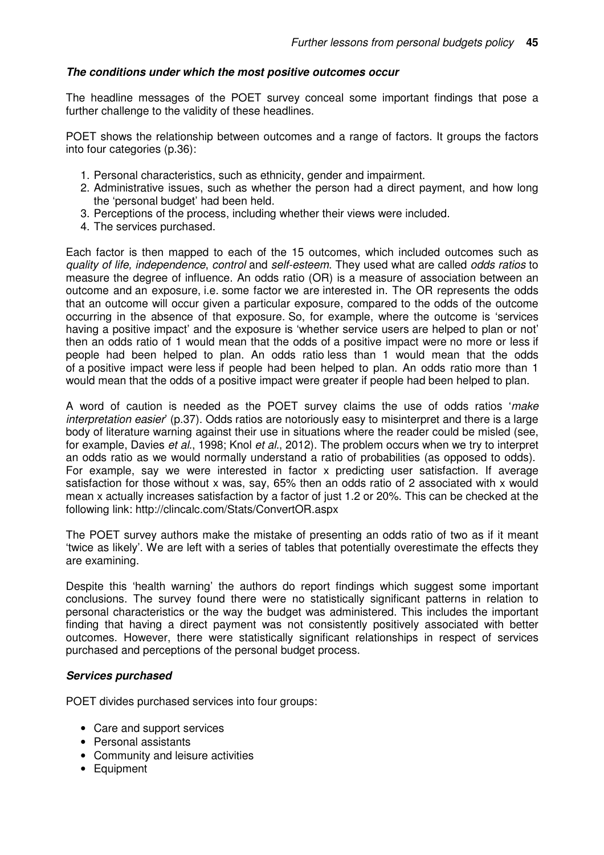### **The conditions under which the most positive outcomes occur**

The headline messages of the POET survey conceal some important findings that pose a further challenge to the validity of these headlines.

POET shows the relationship between outcomes and a range of factors. It groups the factors into four categories (p.36):

- 1. Personal characteristics, such as ethnicity, gender and impairment.
- 2. Administrative issues, such as whether the person had a direct payment, and how long the 'personal budget' had been held.
- 3. Perceptions of the process, including whether their views were included.
- 4. The services purchased.

Each factor is then mapped to each of the 15 outcomes, which included outcomes such as quality of life, independence, control and self-esteem. They used what are called odds ratios to measure the degree of influence. An odds ratio (OR) is a measure of association between an outcome and an exposure, i.e. some factor we are interested in. The OR represents the odds that an outcome will occur given a particular exposure, compared to the odds of the outcome occurring in the absence of that exposure. So, for example, where the outcome is 'services having a positive impact' and the exposure is 'whether service users are helped to plan or not' then an odds ratio of 1 would mean that the odds of a positive impact were no more or less if people had been helped to plan. An odds ratio less than 1 would mean that the odds of a positive impact were less if people had been helped to plan. An odds ratio more than 1 would mean that the odds of a positive impact were greater if people had been helped to plan.

A word of caution is needed as the POET survey claims the use of odds ratios 'make interpretation easier' (p.37). Odds ratios are notoriously easy to misinterpret and there is a large body of literature warning against their use in situations where the reader could be misled (see, for example, Davies et al., 1998; Knol et al., 2012). The problem occurs when we try to interpret an odds ratio as we would normally understand a ratio of probabilities (as opposed to odds). For example, say we were interested in factor x predicting user satisfaction. If average satisfaction for those without x was, say, 65% then an odds ratio of 2 associated with x would mean x actually increases satisfaction by a factor of just 1.2 or 20%. This can be checked at the following link: http://clincalc.com/Stats/ConvertOR.aspx

The POET survey authors make the mistake of presenting an odds ratio of two as if it meant 'twice as likely'. We are left with a series of tables that potentially overestimate the effects they are examining.

Despite this 'health warning' the authors do report findings which suggest some important conclusions. The survey found there were no statistically significant patterns in relation to personal characteristics or the way the budget was administered. This includes the important finding that having a direct payment was not consistently positively associated with better outcomes. However, there were statistically significant relationships in respect of services purchased and perceptions of the personal budget process.

### **Services purchased**

POET divides purchased services into four groups:

- Care and support services
- Personal assistants
- Community and leisure activities
- Equipment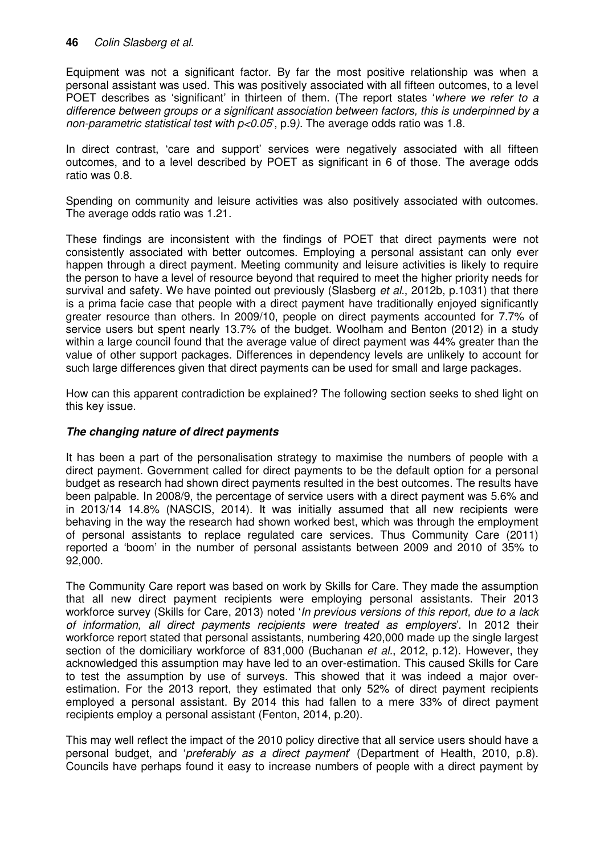Equipment was not a significant factor. By far the most positive relationship was when a personal assistant was used. This was positively associated with all fifteen outcomes, to a level POET describes as 'significant' in thirteen of them. (The report states 'where we refer to a difference between groups or a significant association between factors, this is underpinned by a non-parametric statistical test with  $p<0.05$ , p.9). The average odds ratio was 1.8.

In direct contrast, 'care and support' services were negatively associated with all fifteen outcomes, and to a level described by POET as significant in 6 of those. The average odds ratio was 0.8.

Spending on community and leisure activities was also positively associated with outcomes. The average odds ratio was 1.21.

These findings are inconsistent with the findings of POET that direct payments were not consistently associated with better outcomes. Employing a personal assistant can only ever happen through a direct payment. Meeting community and leisure activities is likely to require the person to have a level of resource beyond that required to meet the higher priority needs for survival and safety. We have pointed out previously (Slasberg *et al.*, 2012b, p.1031) that there is a prima facie case that people with a direct payment have traditionally enjoyed significantly greater resource than others. In 2009/10, people on direct payments accounted for 7.7% of service users but spent nearly 13.7% of the budget. Woolham and Benton (2012) in a study within a large council found that the average value of direct payment was 44% greater than the value of other support packages. Differences in dependency levels are unlikely to account for such large differences given that direct payments can be used for small and large packages.

How can this apparent contradiction be explained? The following section seeks to shed light on this key issue.

## **The changing nature of direct payments**

It has been a part of the personalisation strategy to maximise the numbers of people with a direct payment. Government called for direct payments to be the default option for a personal budget as research had shown direct payments resulted in the best outcomes. The results have been palpable. In 2008/9, the percentage of service users with a direct payment was 5.6% and in 2013/14 14.8% (NASCIS, 2014). It was initially assumed that all new recipients were behaving in the way the research had shown worked best, which was through the employment of personal assistants to replace regulated care services. Thus Community Care (2011) reported a 'boom' in the number of personal assistants between 2009 and 2010 of 35% to 92,000.

The Community Care report was based on work by Skills for Care. They made the assumption that all new direct payment recipients were employing personal assistants. Their 2013 workforce survey (Skills for Care, 2013) noted '*In previous versions of this report, due to a lack* of information, all direct payments recipients were treated as employers'. In 2012 their workforce report stated that personal assistants, numbering 420,000 made up the single largest section of the domiciliary workforce of 831,000 (Buchanan *et al.*, 2012, p.12). However, they acknowledged this assumption may have led to an over-estimation. This caused Skills for Care to test the assumption by use of surveys. This showed that it was indeed a major overestimation. For the 2013 report, they estimated that only 52% of direct payment recipients employed a personal assistant. By 2014 this had fallen to a mere 33% of direct payment recipients employ a personal assistant (Fenton, 2014, p.20).

This may well reflect the impact of the 2010 policy directive that all service users should have a personal budget, and 'preferably as a direct payment' (Department of Health, 2010, p.8). Councils have perhaps found it easy to increase numbers of people with a direct payment by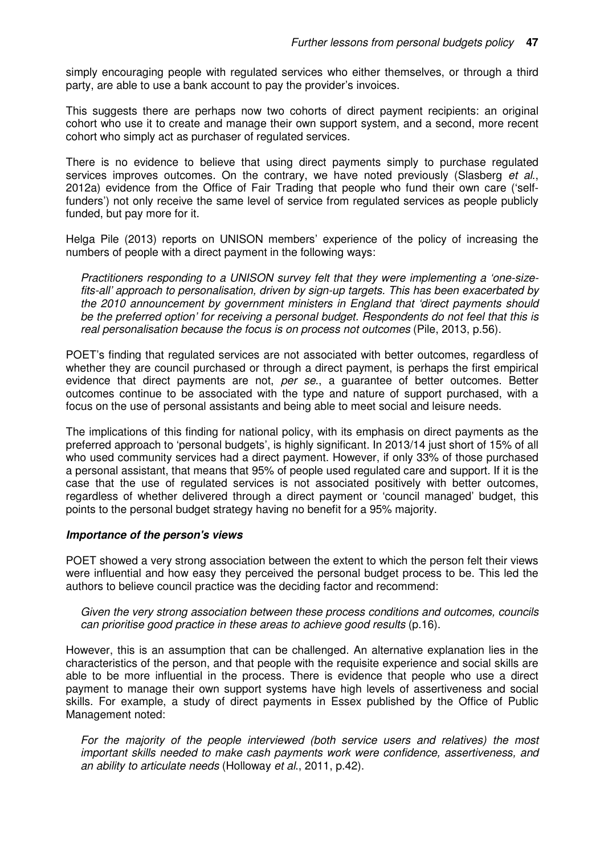simply encouraging people with regulated services who either themselves, or through a third party, are able to use a bank account to pay the provider's invoices.

This suggests there are perhaps now two cohorts of direct payment recipients: an original cohort who use it to create and manage their own support system, and a second, more recent cohort who simply act as purchaser of regulated services.

There is no evidence to believe that using direct payments simply to purchase regulated services improves outcomes. On the contrary, we have noted previously (Slasberg et al., 2012a) evidence from the Office of Fair Trading that people who fund their own care ('selffunders') not only receive the same level of service from regulated services as people publicly funded, but pay more for it.

Helga Pile (2013) reports on UNISON members' experience of the policy of increasing the numbers of people with a direct payment in the following ways:

Practitioners responding to a UNISON survey felt that they were implementing a 'one-sizefits-all' approach to personalisation, driven by sign-up targets. This has been exacerbated by the 2010 announcement by government ministers in England that 'direct payments should be the preferred option' for receiving a personal budget. Respondents do not feel that this is real personalisation because the focus is on process not outcomes (Pile, 2013, p.56).

POET's finding that regulated services are not associated with better outcomes, regardless of whether they are council purchased or through a direct payment, is perhaps the first empirical evidence that direct payments are not, per se., a guarantee of better outcomes. Better outcomes continue to be associated with the type and nature of support purchased, with a focus on the use of personal assistants and being able to meet social and leisure needs.

The implications of this finding for national policy, with its emphasis on direct payments as the preferred approach to 'personal budgets', is highly significant. In 2013/14 just short of 15% of all who used community services had a direct payment. However, if only 33% of those purchased a personal assistant, that means that 95% of people used regulated care and support. If it is the case that the use of regulated services is not associated positively with better outcomes, regardless of whether delivered through a direct payment or 'council managed' budget, this points to the personal budget strategy having no benefit for a 95% majority.

### **Importance of the person's views**

POET showed a very strong association between the extent to which the person felt their views were influential and how easy they perceived the personal budget process to be. This led the authors to believe council practice was the deciding factor and recommend:

Given the very strong association between these process conditions and outcomes, councils can prioritise good practice in these areas to achieve good results (p.16).

However, this is an assumption that can be challenged. An alternative explanation lies in the characteristics of the person, and that people with the requisite experience and social skills are able to be more influential in the process. There is evidence that people who use a direct payment to manage their own support systems have high levels of assertiveness and social skills. For example, a study of direct payments in Essex published by the Office of Public Management noted:

For the majority of the people interviewed (both service users and relatives) the most important skills needed to make cash payments work were confidence, assertiveness, and an ability to articulate needs (Holloway et al., 2011, p.42).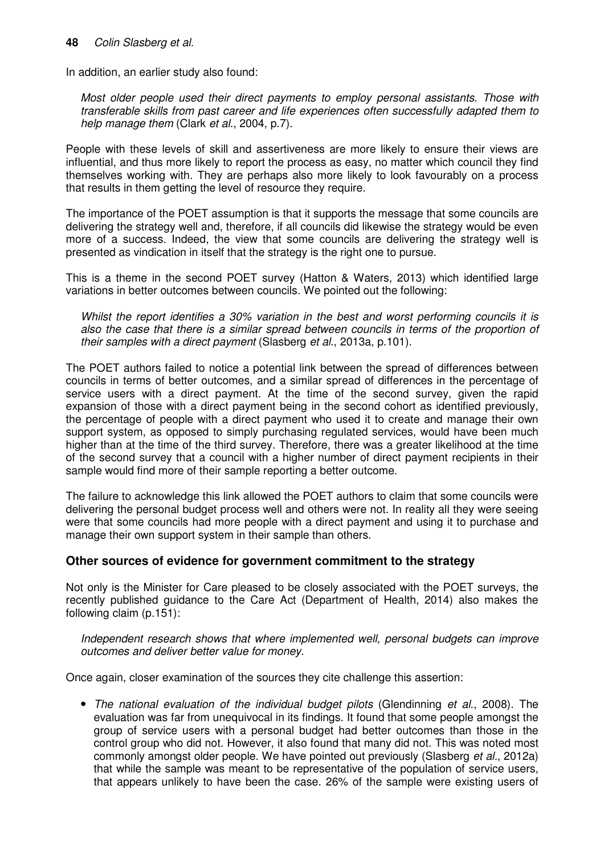### **48** Colin Slasberg et al.

In addition, an earlier study also found:

Most older people used their direct payments to employ personal assistants. Those with transferable skills from past career and life experiences often successfully adapted them to help manage them (Clark et al., 2004, p.7).

People with these levels of skill and assertiveness are more likely to ensure their views are influential, and thus more likely to report the process as easy, no matter which council they find themselves working with. They are perhaps also more likely to look favourably on a process that results in them getting the level of resource they require.

The importance of the POET assumption is that it supports the message that some councils are delivering the strategy well and, therefore, if all councils did likewise the strategy would be even more of a success. Indeed, the view that some councils are delivering the strategy well is presented as vindication in itself that the strategy is the right one to pursue.

This is a theme in the second POET survey (Hatton & Waters, 2013) which identified large variations in better outcomes between councils. We pointed out the following:

Whilst the report identifies a 30% variation in the best and worst performing councils it is also the case that there is a similar spread between councils in terms of the proportion of their samples with a direct payment (Slasberg et al., 2013a, p.101).

The POET authors failed to notice a potential link between the spread of differences between councils in terms of better outcomes, and a similar spread of differences in the percentage of service users with a direct payment. At the time of the second survey, given the rapid expansion of those with a direct payment being in the second cohort as identified previously, the percentage of people with a direct payment who used it to create and manage their own support system, as opposed to simply purchasing regulated services, would have been much higher than at the time of the third survey. Therefore, there was a greater likelihood at the time of the second survey that a council with a higher number of direct payment recipients in their sample would find more of their sample reporting a better outcome.

The failure to acknowledge this link allowed the POET authors to claim that some councils were delivering the personal budget process well and others were not. In reality all they were seeing were that some councils had more people with a direct payment and using it to purchase and manage their own support system in their sample than others.

# **Other sources of evidence for government commitment to the strategy**

Not only is the Minister for Care pleased to be closely associated with the POET surveys, the recently published guidance to the Care Act (Department of Health, 2014) also makes the following claim (p.151):

Independent research shows that where implemented well, personal budgets can improve outcomes and deliver better value for money.

Once again, closer examination of the sources they cite challenge this assertion:

• The national evaluation of the individual budget pilots (Glendinning et al., 2008). The evaluation was far from unequivocal in its findings. It found that some people amongst the group of service users with a personal budget had better outcomes than those in the control group who did not. However, it also found that many did not. This was noted most commonly amongst older people. We have pointed out previously (Slasberg et al., 2012a) that while the sample was meant to be representative of the population of service users, that appears unlikely to have been the case. 26% of the sample were existing users of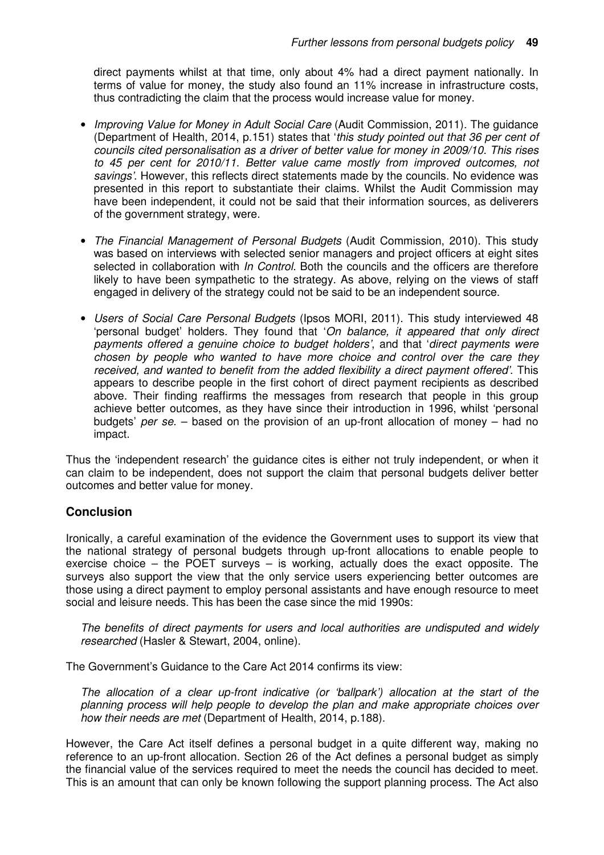direct payments whilst at that time, only about 4% had a direct payment nationally. In terms of value for money, the study also found an 11% increase in infrastructure costs, thus contradicting the claim that the process would increase value for money.

- Improving Value for Money in Adult Social Care (Audit Commission, 2011). The quidance (Department of Health, 2014, p.151) states that 'this study pointed out that 36 per cent of councils cited personalisation as a driver of better value for money in 2009/10. This rises to 45 per cent for 2010/11. Better value came mostly from improved outcomes, not savings'. However, this reflects direct statements made by the councils. No evidence was presented in this report to substantiate their claims. Whilst the Audit Commission may have been independent, it could not be said that their information sources, as deliverers of the government strategy, were.
- The Financial Management of Personal Budgets (Audit Commission, 2010). This study was based on interviews with selected senior managers and project officers at eight sites selected in collaboration with *In Control*. Both the councils and the officers are therefore likely to have been sympathetic to the strategy. As above, relying on the views of staff engaged in delivery of the strategy could not be said to be an independent source.
- Users of Social Care Personal Budgets (Ipsos MORI, 2011). This study interviewed 48 'personal budget' holders. They found that 'On balance, it appeared that only direct payments offered a genuine choice to budget holders', and that 'direct payments were chosen by people who wanted to have more choice and control over the care they received, and wanted to benefit from the added flexibility a direct payment offered'. This appears to describe people in the first cohort of direct payment recipients as described above. Their finding reaffirms the messages from research that people in this group achieve better outcomes, as they have since their introduction in 1996, whilst 'personal budgets' per se. – based on the provision of an up-front allocation of money – had no impact.

Thus the 'independent research' the guidance cites is either not truly independent, or when it can claim to be independent, does not support the claim that personal budgets deliver better outcomes and better value for money.

# **Conclusion**

Ironically, a careful examination of the evidence the Government uses to support its view that the national strategy of personal budgets through up-front allocations to enable people to exercise choice – the POET surveys – is working, actually does the exact opposite. The surveys also support the view that the only service users experiencing better outcomes are those using a direct payment to employ personal assistants and have enough resource to meet social and leisure needs. This has been the case since the mid 1990s:

The benefits of direct payments for users and local authorities are undisputed and widely researched (Hasler & Stewart, 2004, online).

The Government's Guidance to the Care Act 2014 confirms its view:

The allocation of a clear up-front indicative (or 'ballpark') allocation at the start of the planning process will help people to develop the plan and make appropriate choices over how their needs are met (Department of Health, 2014, p.188).

However, the Care Act itself defines a personal budget in a quite different way, making no reference to an up-front allocation. Section 26 of the Act defines a personal budget as simply the financial value of the services required to meet the needs the council has decided to meet. This is an amount that can only be known following the support planning process. The Act also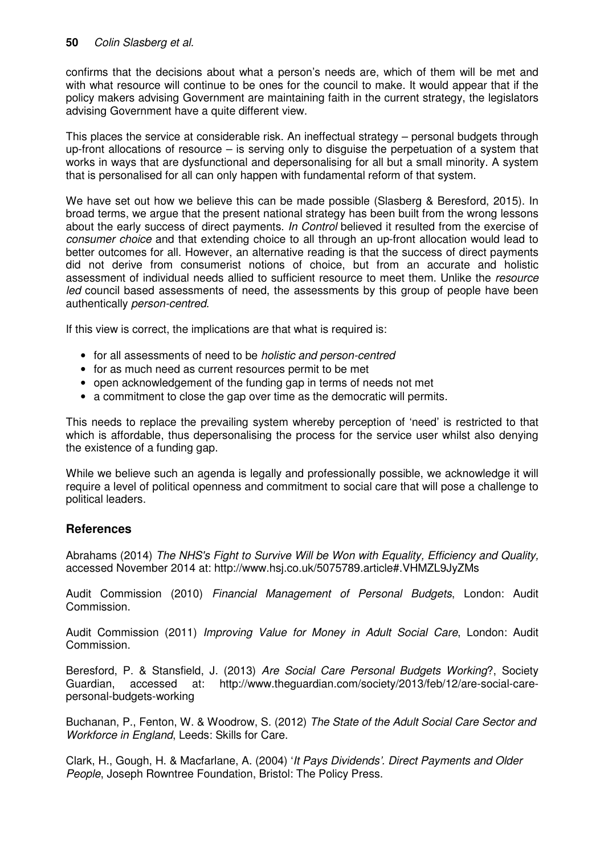## **50** Colin Slasberg et al.

confirms that the decisions about what a person's needs are, which of them will be met and with what resource will continue to be ones for the council to make. It would appear that if the policy makers advising Government are maintaining faith in the current strategy, the legislators advising Government have a quite different view.

This places the service at considerable risk. An ineffectual strategy – personal budgets through up-front allocations of resource – is serving only to disguise the perpetuation of a system that works in ways that are dysfunctional and depersonalising for all but a small minority. A system that is personalised for all can only happen with fundamental reform of that system.

We have set out how we believe this can be made possible (Slasberg & Beresford, 2015). In broad terms, we argue that the present national strategy has been built from the wrong lessons about the early success of direct payments. In Control believed it resulted from the exercise of consumer choice and that extending choice to all through an up-front allocation would lead to better outcomes for all. However, an alternative reading is that the success of direct payments did not derive from consumerist notions of choice, but from an accurate and holistic assessment of individual needs allied to sufficient resource to meet them. Unlike the resource led council based assessments of need, the assessments by this group of people have been authentically person-centred.

If this view is correct, the implications are that what is required is:

- for all assessments of need to be *holistic and person-centred*
- for as much need as current resources permit to be met
- open acknowledgement of the funding gap in terms of needs not met
- a commitment to close the gap over time as the democratic will permits.

This needs to replace the prevailing system whereby perception of 'need' is restricted to that which is affordable, thus depersonalising the process for the service user whilst also denying the existence of a funding gap.

While we believe such an agenda is legally and professionally possible, we acknowledge it will require a level of political openness and commitment to social care that will pose a challenge to political leaders.

# **References**

Abrahams (2014) The NHS's Fight to Survive Will be Won with Equality, Efficiency and Quality, accessed November 2014 at: http://www.hsj.co.uk/5075789.article#.VHMZL9JyZMs

Audit Commission (2010) Financial Management of Personal Budgets, London: Audit Commission.

Audit Commission (2011) Improving Value for Money in Adult Social Care, London: Audit Commission.

Beresford, P. & Stansfield, J. (2013) Are Social Care Personal Budgets Working?, Society Guardian, accessed at: http://www.theguardian.com/society/2013/feb/12/are-social-carepersonal-budgets-working

Buchanan, P., Fenton, W. & Woodrow, S. (2012) The State of the Adult Social Care Sector and Workforce in England, Leeds: Skills for Care.

Clark, H., Gough, H. & Macfarlane, A. (2004) 'It Pays Dividends'. Direct Payments and Older People, Joseph Rowntree Foundation, Bristol: The Policy Press.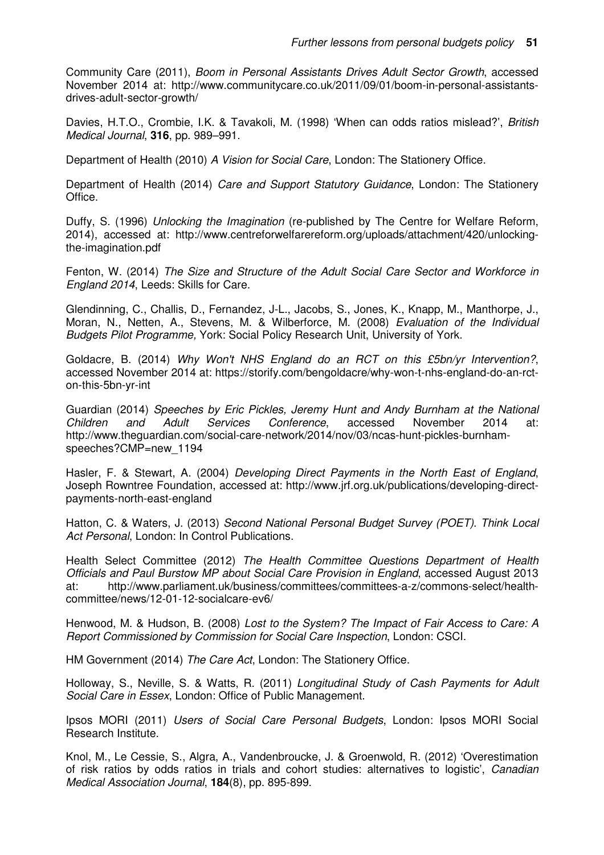Community Care (2011), Boom in Personal Assistants Drives Adult Sector Growth, accessed November 2014 at: http://www.communitycare.co.uk/2011/09/01/boom-in-personal-assistantsdrives-adult-sector-growth/

Davies, H.T.O., Crombie, I.K. & Tavakoli, M. (1998) 'When can odds ratios mislead?', British Medical Journal, **316**, pp. 989–991.

Department of Health (2010) A Vision for Social Care, London: The Stationery Office.

Department of Health (2014) Care and Support Statutory Guidance, London: The Stationery Office.

Duffy, S. (1996) Unlocking the Imagination (re-published by The Centre for Welfare Reform, 2014), accessed at: http://www.centreforwelfarereform.org/uploads/attachment/420/unlockingthe-imagination.pdf

Fenton, W. (2014) The Size and Structure of the Adult Social Care Sector and Workforce in England 2014, Leeds: Skills for Care.

Glendinning, C., Challis, D., Fernandez, J-L., Jacobs, S., Jones, K., Knapp, M., Manthorpe, J., Moran, N., Netten, A., Stevens, M. & Wilberforce, M. (2008) Evaluation of the Individual Budgets Pilot Programme, York: Social Policy Research Unit, University of York.

Goldacre, B. (2014) Why Won't NHS England do an RCT on this £5bn/yr Intervention?, accessed November 2014 at: https://storify.com/bengoldacre/why-won-t-nhs-england-do-an-rcton-this-5bn-yr-int

Guardian (2014) Speeches by Eric Pickles, Jeremy Hunt and Andy Burnham at the National Children and Adult Services Conference, accessed November 2014 at: http://www.theguardian.com/social-care-network/2014/nov/03/ncas-hunt-pickles-burnhamspeeches?CMP=new\_1194

Hasler, F. & Stewart, A. (2004) Developing Direct Payments in the North East of England, Joseph Rowntree Foundation, accessed at: http://www.jrf.org.uk/publications/developing-directpayments-north-east-england

Hatton, C. & Waters, J. (2013) Second National Personal Budget Survey (POET). Think Local Act Personal, London: In Control Publications.

Health Select Committee (2012) The Health Committee Questions Department of Health Officials and Paul Burstow MP about Social Care Provision in England, accessed August 2013 at: http://www.parliament.uk/business/committees/committees-a-z/commons-select/healthcommittee/news/12-01-12-socialcare-ev6/

Henwood, M. & Hudson, B. (2008) Lost to the System? The Impact of Fair Access to Care: A Report Commissioned by Commission for Social Care Inspection, London: CSCI.

HM Government (2014) The Care Act, London: The Stationery Office.

Holloway, S., Neville, S. & Watts, R. (2011) Longitudinal Study of Cash Payments for Adult Social Care in Essex, London: Office of Public Management.

Ipsos MORI (2011) Users of Social Care Personal Budgets, London: Ipsos MORI Social Research Institute.

Knol, M., Le Cessie, S., Algra, A., Vandenbroucke, J. & Groenwold, R. (2012) 'Overestimation of risk ratios by odds ratios in trials and cohort studies: alternatives to logistic', Canadian Medical Association Journal, **184**(8), pp. 895-899.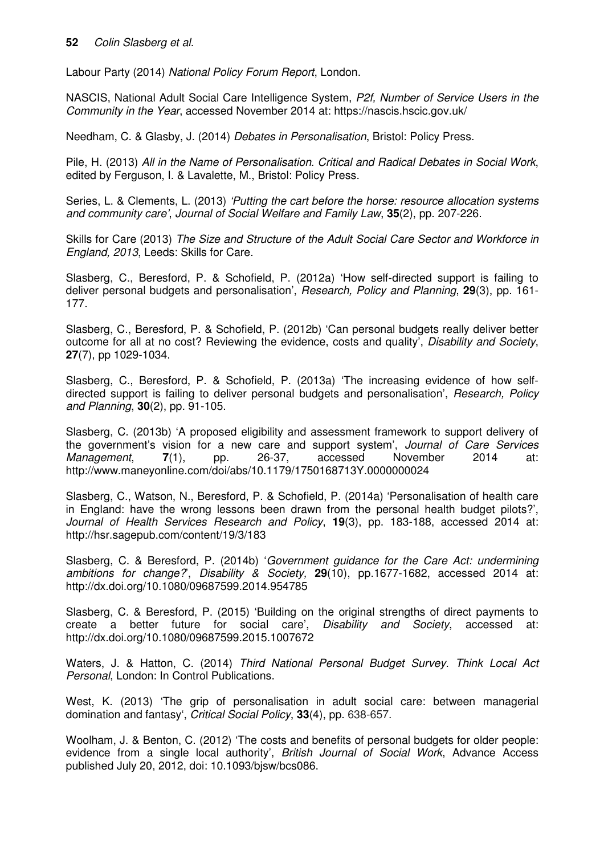Labour Party (2014) National Policy Forum Report, London.

NASCIS, National Adult Social Care Intelligence System, P2f, Number of Service Users in the Community in the Year, accessed November 2014 at: https://nascis.hscic.gov.uk/

Needham, C. & Glasby, J. (2014) Debates in Personalisation, Bristol: Policy Press.

Pile, H. (2013) All in the Name of Personalisation. Critical and Radical Debates in Social Work, edited by Ferguson, I. & Lavalette, M., Bristol: Policy Press.

Series, L. & Clements, L. (2013) 'Putting the cart before the horse: resource allocation systems and community care', Journal of Social Welfare and Family Law, **35**(2), pp. 207-226.

Skills for Care (2013) The Size and Structure of the Adult Social Care Sector and Workforce in England, 2013, Leeds: Skills for Care.

Slasberg, C., Beresford, P. & Schofield, P. (2012a) 'How self-directed support is failing to deliver personal budgets and personalisation', Research, Policy and Planning, **29**(3), pp. 161- 177.

Slasberg, C., Beresford, P. & Schofield, P. (2012b) 'Can personal budgets really deliver better outcome for all at no cost? Reviewing the evidence, costs and quality', Disability and Society, **27**(7), pp 1029-1034.

Slasberg, C., Beresford, P. & Schofield, P. (2013a) 'The increasing evidence of how selfdirected support is failing to deliver personal budgets and personalisation', Research, Policy and Planning, **30**(2), pp. 91-105.

Slasberg, C. (2013b) 'A proposed eligibility and assessment framework to support delivery of the government's vision for a new care and support system', Journal of Care Services Management, **7**(1), pp. 26-37, accessed November 2014 at: http://www.maneyonline.com/doi/abs/10.1179/1750168713Y.0000000024

Slasberg, C., Watson, N., Beresford, P. & Schofield, P. (2014a) 'Personalisation of health care in England: have the wrong lessons been drawn from the personal health budget pilots?', Journal of Health Services Research and Policy, **19**(3), pp. 183-188, accessed 2014 at: http://hsr.sagepub.com/content/19/3/183

Slasberg, C. & Beresford, P. (2014b) 'Government guidance for the Care Act: undermining ambitions for change?', Disability & Society, **29**(10), pp.1677-1682, accessed 2014 at: http://dx.doi.org/10.1080/09687599.2014.954785

Slasberg, C. & Beresford, P. (2015) 'Building on the original strengths of direct payments to create a better future for social care', Disability and Society, accessed at: http://dx.doi.org/10.1080/09687599.2015.1007672

Waters, J. & Hatton, C. (2014) Third National Personal Budget Survey. Think Local Act Personal, London: In Control Publications.

West, K. (2013) 'The grip of personalisation in adult social care: between managerial domination and fantasy', Critical Social Policy, **33**(4), pp. 638-657.

Woolham, J. & Benton, C. (2012) 'The costs and benefits of personal budgets for older people: evidence from a single local authority', British Journal of Social Work, Advance Access published July 20, 2012, doi: 10.1093/bjsw/bcs086.